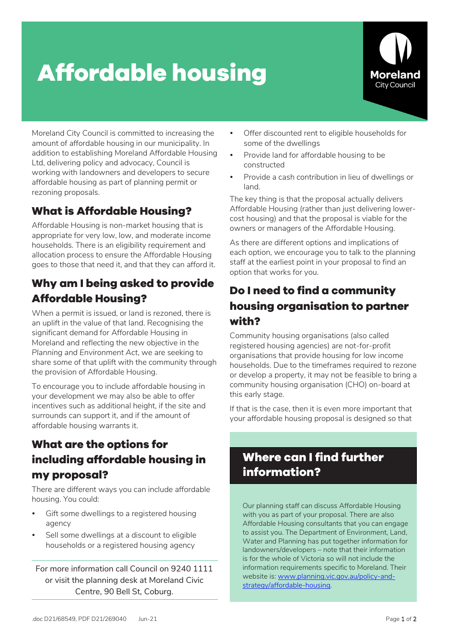# **Affordable housing**



Moreland City Council is committed to increasing the amount of affordable housing in our municipality. In addition to establishing Moreland Affordable Housing Ltd, delivering policy and advocacy, Council is working with landowners and developers to secure affordable housing as part of planning permit or rezoning proposals.

## **What is Affordable Housing?**

Affordable Housing is non-market housing that is appropriate for very low, low, and moderate income households. There is an eligibility requirement and allocation process to ensure the Affordable Housing goes to those that need it, and that they can afford it.

#### **Why am I being asked to provide Affordable Housing?**

When a permit is issued, or land is rezoned, there is an uplift in the value of that land. Recognising the significant demand for Affordable Housing in Moreland and reflecting the new objective in the *Planning and Environment Act*, we are seeking to share some of that uplift with the community through the provision of Affordable Housing.

To encourage you to include affordable housing in your development we may also be able to offer incentives such as additional height, if the site and surrounds can support it, and if the amount of affordable housing warrants it.

#### **What are the options for including affordable housing in my proposal?**

There are different ways you can include affordable housing. You could:

- Gift some dwellings to a registered housing agency
- Sell some dwellings at a discount to eligible households or a registered housing agency

For more information call Council on 9240 1111 or visit the planning desk at Moreland Civic Centre, 90 Bell St, Coburg.

- Offer discounted rent to eligible households for some of the dwellings
- Provide land for affordable housing to be constructed
- Provide a cash contribution in lieu of dwellings or land.

The key thing is that the proposal actually delivers Affordable Housing (rather than just delivering lowercost housing) and that the proposal is viable for the owners or managers of the Affordable Housing.

As there are different options and implications of each option, we encourage you to talk to the planning staff at the earliest point in your proposal to find an option that works for you.

### **Do I need to find a community housing organisation to partner with?**

Community housing organisations (also called registered housing agencies) are not-for-profit organisations that provide housing for low income households. Due to the timeframes required to rezone or develop a property, it may not be feasible to bring a community housing organisation (CHO) on-board at this early stage.

If that is the case, then it is even more important that your affordable housing proposal is designed so that

## **Where can I find further information?**

Our planning staff can discuss Affordable Housing with you as part of your proposal. There are also Affordable Housing consultants that you can engage to assist you. The Department of Environment, Land, Water and Planning has put together information for landowners/developers – note that their information is for the whole of Victoria so will not include the information requirements specific to Moreland. Their website is: www.planning.vic.gov.au/policy-andstrategy/affordable-housing.